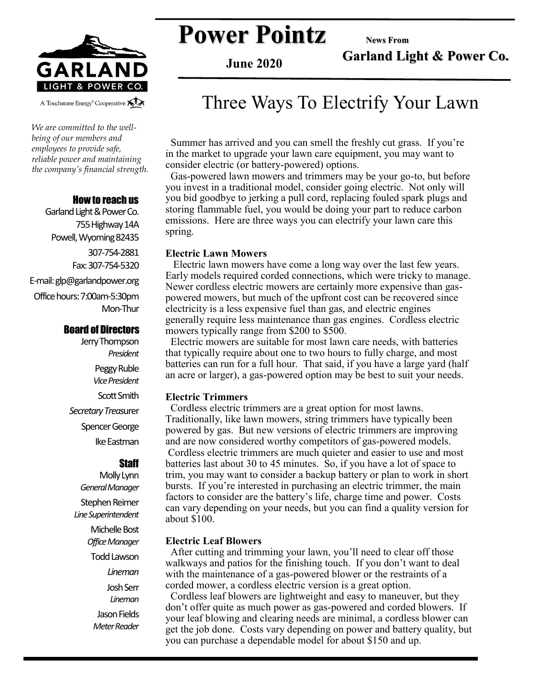

*We are committed to the wellbeing of our members and employees to provide safe, reliable power and maintaining the company's financial strength.* 

#### How to reach us

Garland Light & Power Co. 755 Highway 14A Powell, Wyoming 82435 307-754-2881 Fax: 307-754-5320 E-mail: glp@garlandpower.org Office hours: 7:00am-5:30pm Mon-Thur

#### Board of Directors

Jerry Thompson *President* Peggy Ruble *Vice President* Scott Smith *Secretary Treas*urer Spencer George Ike Eastman

#### **Staff**

Molly Lynn *General Manager* Stephen Reimer *Line Superintendent* Michelle Bost *Office Manager* Todd Lawson *Lineman* Josh Serr *Lineman* Jason Fields *Meter Reader*

**Power Pointz** News From

**Garland Light & Power Co.**

**June 2020**

### Three Ways To Electrify Your Lawn

 Summer has arrived and you can smell the freshly cut grass. If you're in the market to upgrade your lawn care equipment, you may want to consider electric (or battery-powered) options.

 Gas-powered lawn mowers and trimmers may be your go-to, but before you invest in a traditional model, consider going electric. Not only will you bid goodbye to jerking a pull cord, replacing fouled spark plugs and storing flammable fuel, you would be doing your part to reduce carbon emissions. Here are three ways you can electrify your lawn care this spring.

#### **Electric Lawn Mowers**

Electric lawn mowers have come a long way over the last few years. Early models required corded connections, which were tricky to manage. Newer cordless electric mowers are certainly more expensive than gaspowered mowers, but much of the upfront cost can be recovered since electricity is a less expensive fuel than gas, and electric engines generally require less maintenance than gas engines. Cordless electric mowers typically range from \$200 to \$500.

 Electric mowers are suitable for most lawn care needs, with batteries that typically require about one to two hours to fully charge, and most batteries can run for a full hour. That said, if you have a large yard (half an acre or larger), a gas-powered option may be best to suit your needs.

#### **Electric Trimmers**

Cordless electric trimmers are a great option for most lawns. Traditionally, like lawn mowers, string trimmers have typically been powered by gas. But new versions of electric trimmers are improving and are now considered worthy competitors of gas-powered models. Cordless electric trimmers are much quieter and easier to use and most batteries last about 30 to 45 minutes. So, if you have a lot of space to trim, you may want to consider a backup battery or plan to work in short bursts. If you're interested in purchasing an electric trimmer, the main factors to consider are the battery's life, charge time and power. Costs can vary depending on your needs, but you can find a quality version for about \$100.

#### **Electric Leaf Blowers**

 After cutting and trimming your lawn, you'll need to clear off those walkways and patios for the finishing touch. If you don't want to deal with the maintenance of a gas-powered blower or the restraints of a corded mower, a cordless electric version is a great option.

 Cordless leaf blowers are lightweight and easy to maneuver, but they don't offer quite as much power as gas-powered and corded blowers. If your leaf blowing and clearing needs are minimal, a cordless blower can get the job done. Costs vary depending on power and battery quality, but you can purchase a dependable model for about \$150 and up.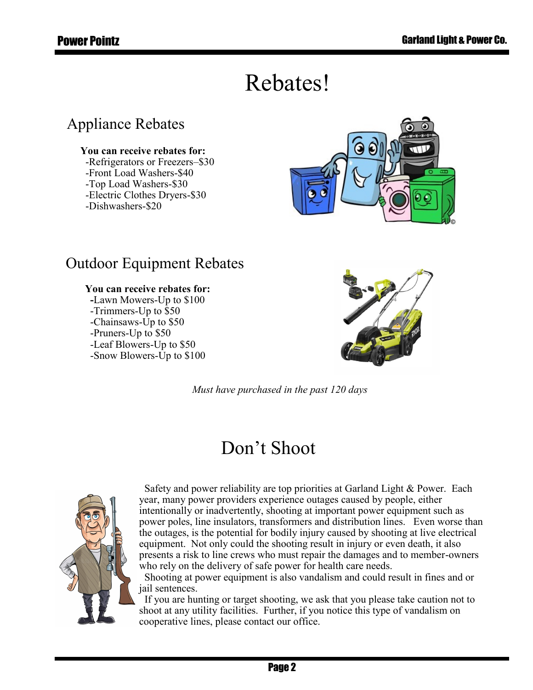# Rebates!

### Appliance Rebates

#### **You can receive rebates for:**

 -Refrigerators or Freezers–\$30 -Front Load Washers-\$40 -Top Load Washers-\$30 -Electric Clothes Dryers-\$30 -Dishwashers-\$20



### Outdoor Equipment Rebates

### **You can receive rebates for:**

 **-**Lawn Mowers-Up to \$100 -Trimmers-Up to \$50 -Chainsaws-Up to \$50 -Pruners-Up to \$50 -Leaf Blowers-Up to \$50 -Snow Blowers-Up to \$100



*Must have purchased in the past 120 days*

# Don't Shoot



 Safety and power reliability are top priorities at Garland Light & Power. Each year, many power providers experience outages caused by people, either intentionally or inadvertently, shooting at important power equipment such as power poles, line insulators, transformers and distribution lines. Even worse than the outages, is the potential for bodily injury caused by shooting at live electrical equipment. Not only could the shooting result in injury or even death, it also presents a risk to line crews who must repair the damages and to member-owners who rely on the delivery of safe power for health care needs.

 Shooting at power equipment is also vandalism and could result in fines and or jail sentences.

 If you are hunting or target shooting, we ask that you please take caution not to shoot at any utility facilities. Further, if you notice this type of vandalism on cooperative lines, please contact our office.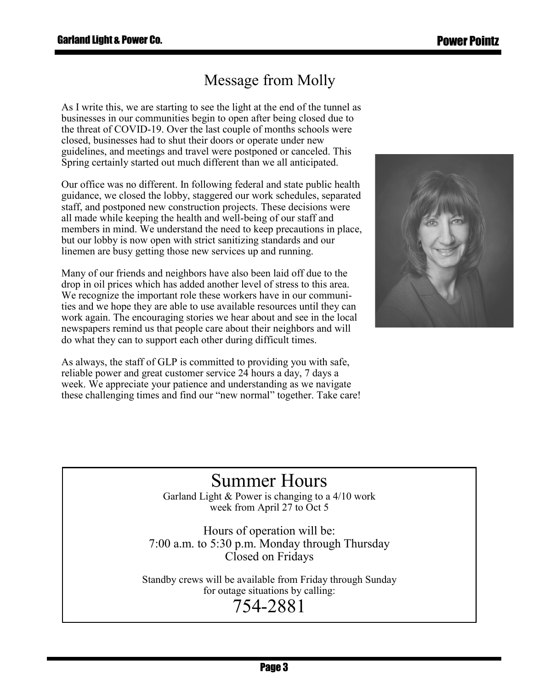### Message from Molly

As I write this, we are starting to see the light at the end of the tunnel as businesses in our communities begin to open after being closed due to the threat of COVID-19. Over the last couple of months schools were closed, businesses had to shut their doors or operate under new guidelines, and meetings and travel were postponed or canceled. This Spring certainly started out much different than we all anticipated.

Our office was no different. In following federal and state public health guidance, we closed the lobby, staggered our work schedules, separated staff, and postponed new construction projects. These decisions were all made while keeping the health and well-being of our staff and members in mind. We understand the need to keep precautions in place, but our lobby is now open with strict sanitizing standards and our linemen are busy getting those new services up and running.

Many of our friends and neighbors have also been laid off due to the drop in oil prices which has added another level of stress to this area. We recognize the important role these workers have in our communities and we hope they are able to use available resources until they can work again. The encouraging stories we hear about and see in the local newspapers remind us that people care about their neighbors and will do what they can to support each other during difficult times.

As always, the staff of GLP is committed to providing you with safe, reliable power and great customer service 24 hours a day, 7 days a week. We appreciate your patience and understanding as we navigate these challenging times and find our "new normal" together. Take care!



# Summer Hours

Garland Light & Power is changing to a 4/10 work week from April 27 to Oct 5

Hours of operation will be: 7:00 a.m. to 5:30 p.m. Monday through Thursday Closed on Fridays

Standby crews will be available from Friday through Sunday for outage situations by calling:

# 754-2881